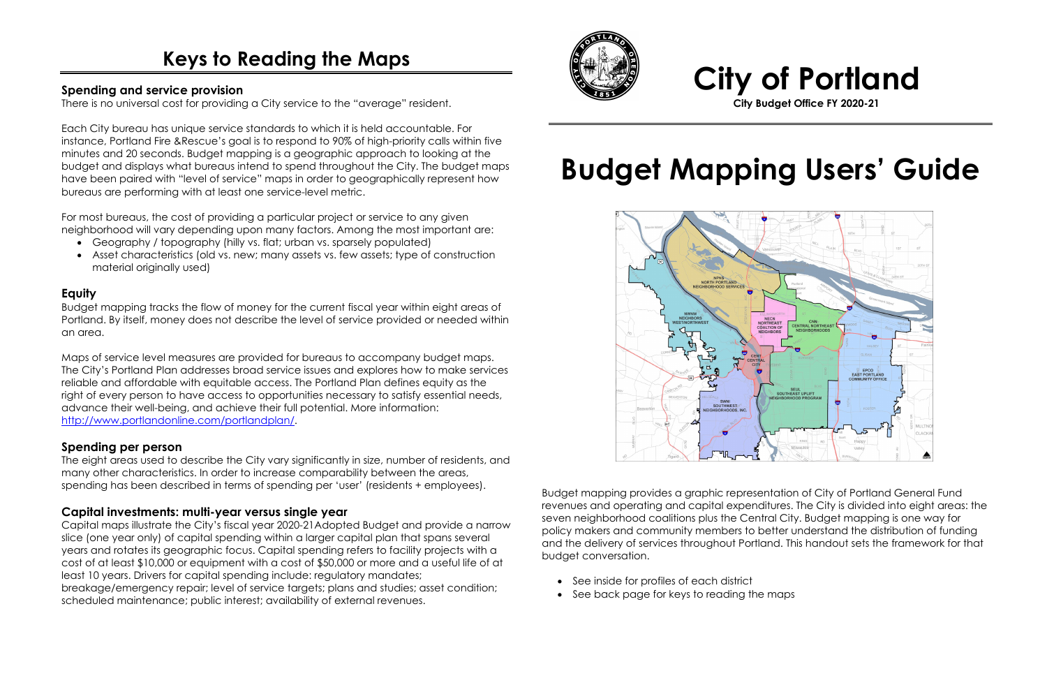# **Keys to Reading the Maps**

### **Spending and service provision**

There is no universal cost for providing a City service to the "average" resident.

Each City bureau has unique service standards to which it is held accountable. For instance, Portland Fire &Rescue's goal is to respond to 90% of high-priority calls within five minutes and 20 seconds. Budget mapping is a geographic approach to looking at the budget and displays what bureaus intend to spend throughout the City. The budget maps have been paired with "level of service" maps in order to geographically represent how bureaus are performing with at least one service-level metric.

For most bureaus, the cost of providing a particular project or service to any given neighborhood will vary depending upon many factors. Among the most important are:

- Geography / topography (hilly vs. flat; urban vs. sparsely populated)
- Asset characteristics (old vs. new; many assets vs. few assets; type of construction material originally used)

### **Equity**

Budget mapping tracks the flow of money for the current fiscal year within eight areas of Portland. By itself, money does not describe the level of service provided or needed within an area.

Maps of service level measures are provided for bureaus to accompany budget maps. The City's Portland Plan addresses broad service issues and explores how to make services reliable and affordable with equitable access. The Portland Plan defines equity as the right of every person to have access to opportunities necessary to satisfy essential needs, advance their well-being, and achieve their full potential. More information: [http://www.portlandonline.com/portlandplan/.](http://www.portlandonline.com/portlandplan/)

### **Spending per person**

The eight areas used to describe the City vary significantly in size, number of residents, and many other characteristics. In order to increase comparability between the areas, spending has been described in terms of spending per 'user' (residents + employees).

### **Capital investments: multi-year versus single year**

Capital maps illustrate the City's fiscal year 2020-21Adopted Budget and provide a narrow slice (one year only) of capital spending within a larger capital plan that spans several years and rotates its geographic focus. Capital spending refers to facility projects with a cost of at least \$10,000 or equipment with a cost of \$50,000 or more and a useful life of at least 10 years. Drivers for capital spending include: regulatory mandates; breakage/emergency repair; level of service targets; plans and studies; asset condition; scheduled maintenance; public interest; availability of external revenues.



## **City of Portland City Budget Office FY 2020-21**

# **Budget Mapping Users' Guide**



Budget mapping provides a graphic representation of City of Portland General Fund revenues and operating and capital expenditures. The City is divided into eight areas: the seven neighborhood coalitions plus the Central City. Budget mapping is one way for policy makers and community members to better understand the distribution of funding and the delivery of services throughout Portland. This handout sets the framework for that budget conversation.

- See inside for profiles of each district
- See back page for keys to reading the maps